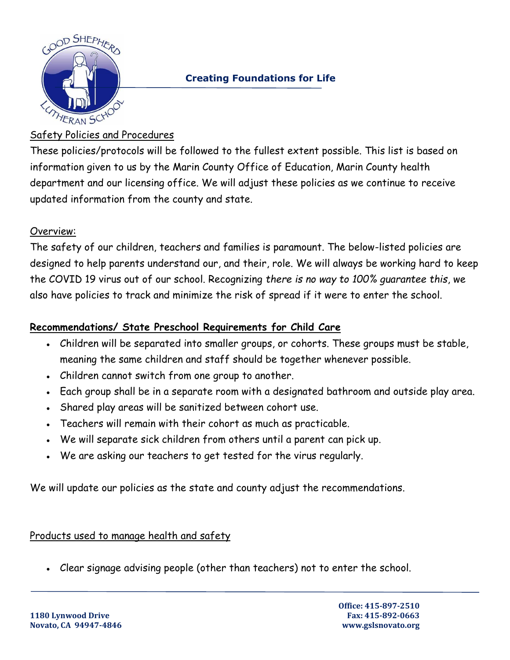

## **Creating Foundations for Life**

## Safety Policies and Procedures

These policies/protocols will be followed to the fullest extent possible. This list is based on information given to us by the Marin County Office of Education, Marin County health department and our licensing office. We will adjust these policies as we continue to receive updated information from the county and state.

## Overview:

The safety of our children, teachers and families is paramount. The below-listed policies are designed to help parents understand our, and their, role. We will always be working hard to keep the COVID 19 virus out of our school. Recognizing *there is no way to 100% guarantee this*, we also have policies to track and minimize the risk of spread if it were to enter the school.

## **Recommendations/ State Preschool Requirements for Child Care**

- Children will be separated into smaller groups, or cohorts. These groups must be stable, meaning the same children and staff should be together whenever possible.
- Children cannot switch from one group to another.
- Each group shall be in a separate room with a designated bathroom and outside play area.
- Shared play areas will be sanitized between cohort use.
- Teachers will remain with their cohort as much as practicable.
- We will separate sick children from others until a parent can pick up.
- We are asking our teachers to get tested for the virus regularly.

We will update our policies as the state and county adjust the recommendations.

#### Products used to manage health and safety

• Clear signage advising people (other than teachers) not to enter the school.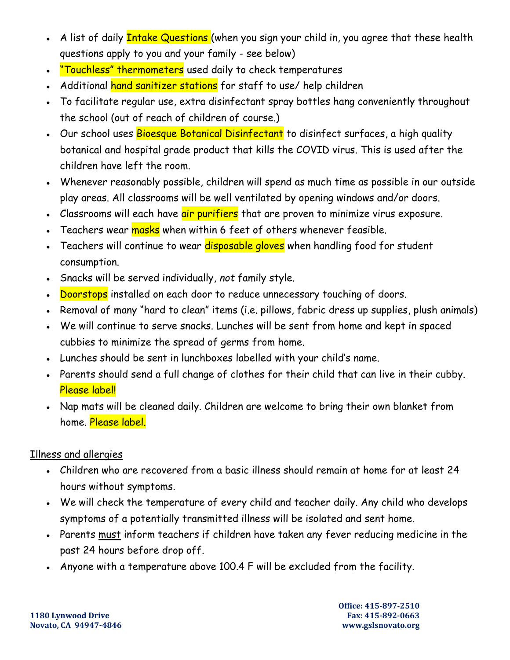- A list of daily **Intake Questions** (when you sign your child in, you agree that these health questions apply to you and your family - see below)
- "Touchless" thermometers used daily to check temperatures
- Additional hand sanitizer stations for staff to use/ help children
- To facilitate regular use, extra disinfectant spray bottles hang conveniently throughout the school (out of reach of children of course.)
- Our school uses Bioesque Botanical Disinfectant to disinfect surfaces, a high quality botanical and hospital grade product that kills the COVID virus. This is used after the children have left the room.
- Whenever reasonably possible, children will spend as much time as possible in our outside play areas. All classrooms will be well ventilated by opening windows and/or doors.
- Classrooms will each have air purifiers that are proven to minimize virus exposure.
- Teachers wear <mark>masks</mark> when within 6 feet of others whenever feasible.
- Teachers will continue to wear disposable gloves when handling food for student consumption.
- Snacks will be served individually, *not* family style.
- **Doorstops** installed on each door to reduce unnecessary touching of doors.
- Removal of many "hard to clean" items (i.e. pillows, fabric dress up supplies, plush animals)
- We will continue to serve snacks. Lunches will be sent from home and kept in spaced cubbies to minimize the spread of germs from home.
- Lunches should be sent in lunchboxes labelled with your child's name.
- Parents should send a full change of clothes for their child that can live in their cubby. Please label!
- Nap mats will be cleaned daily. Children are welcome to bring their own blanket from home. Please label.

# Illness and allergies

- Children who are recovered from a basic illness should remain at home for at least 24 hours without symptoms.
- We will check the temperature of every child and teacher daily. Any child who develops symptoms of a potentially transmitted illness will be isolated and sent home.
- Parents must inform teachers if children have taken any fever reducing medicine in the past 24 hours before drop off.
- Anyone with a temperature above 100.4 F will be excluded from the facility.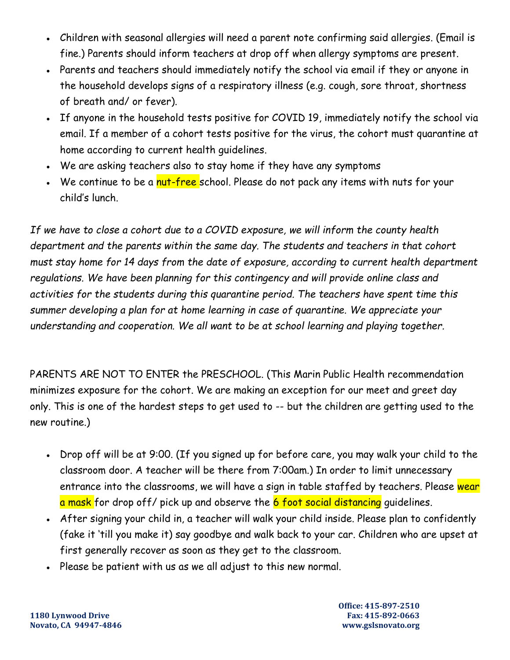- Children with seasonal allergies will need a parent note confirming said allergies. (Email is fine.) Parents should inform teachers at drop off when allergy symptoms are present.
- Parents and teachers should immediately notify the school via email if they or anyone in the household develops signs of a respiratory illness (e.g. cough, sore throat, shortness of breath and/ or fever).
- If anyone in the household tests positive for COVID 19, immediately notify the school via email. If a member of a cohort tests positive for the virus, the cohort must quarantine at home according to current health guidelines.
- We are asking teachers also to stay home if they have any symptoms
- We continue to be a <mark>nut-free</mark> school. Please do not pack any items with nuts for your child's lunch.

*If we have to close a cohort due to a COVID exposure, we will inform the county health department and the parents within the same day. The students and teachers in that cohort must stay home for 14 days from the date of exposure, according to current health department regulations. We have been planning for this contingency and will provide online class and activities for the students during this quarantine period. The teachers have spent time this summer developing a plan for at home learning in case of quarantine. We appreciate your understanding and cooperation. We all want to be at school learning and playing together.* 

PARENTS ARE NOT TO ENTER the PRESCHOOL. (This Marin Public Health recommendation minimizes exposure for the cohort. We are making an exception for our meet and greet day only. This is one of the hardest steps to get used to -- but the children are getting used to the new routine.)

- Drop off will be at 9:00. (If you signed up for before care, you may walk your child to the classroom door. A teacher will be there from 7:00am.) In order to limit unnecessary entrance into the classrooms, we will have a sign in table staffed by teachers. Please wear a mask for drop off/ pick up and observe the 6 foot social distancing guidelines.
- After signing your child in, a teacher will walk your child inside. Please plan to confidently (fake it 'till you make it) say goodbye and walk back to your car. Children who are upset at first generally recover as soon as they get to the classroom.
- Please be patient with us as we all adjust to this new normal.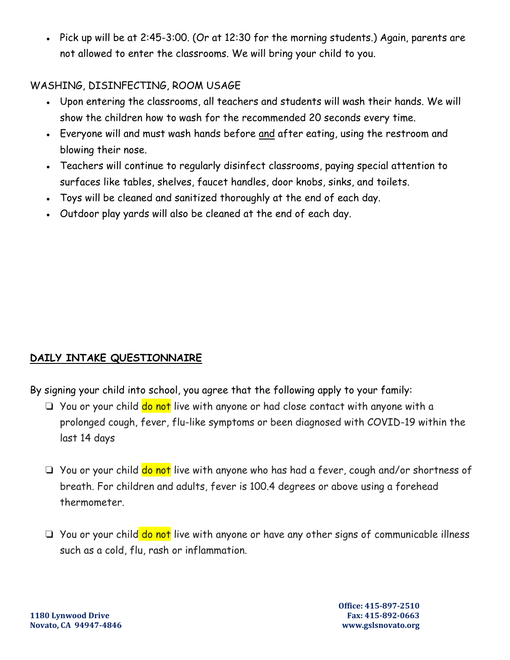• Pick up will be at 2:45-3:00. (Or at 12:30 for the morning students.) Again, parents are not allowed to enter the classrooms. We will bring your child to you.

## WASHING, DISINFECTING, ROOM USAGE

- Upon entering the classrooms, all teachers and students will wash their hands. We will show the children how to wash for the recommended 20 seconds every time.
- Everyone will and must wash hands before and after eating, using the restroom and blowing their nose.
- Teachers will continue to regularly disinfect classrooms, paying special attention to surfaces like tables, shelves, faucet handles, door knobs, sinks, and toilets.
- Toys will be cleaned and sanitized thoroughly at the end of each day.
- Outdoor play yards will also be cleaned at the end of each day.

# **DAILY INTAKE QUESTIONNAIRE**

- By signing your child into school, you agree that the following apply to your family:
	- ❏ You or your child do not live with anyone or had close contact with anyone with a prolonged cough, fever, flu-like symptoms or been diagnosed with COVID-19 within the last 14 days
	- ❏ You or your child do not live with anyone who has had a fever, cough and/or shortness of breath. For children and adults, fever is 100.4 degrees or above using a forehead thermometer.
	- ❏ You or your child do not live with anyone or have any other signs of communicable illness such as a cold, flu, rash or inflammation.